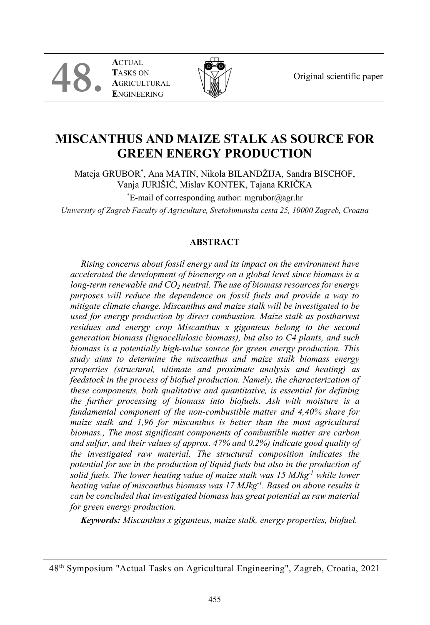Original scientific paper

**A**CTUAL **T**ASKS ON **A**GRICULTURAL **E**NGINEERING

**48.**



# **MISCANTHUS AND MAIZE STALK AS SOURCE FOR GREEN ENERGY PRODUCTION**

Mateja GRUBOR\* , Ana MATIN, Nikola BILANDŽIJA, Sandra BISCHOF, Vanja JURIŠIĆ, Mislav KONTEK, Tajana KRIČKA \* E-mail of corresponding author: mgrubor@agr.hr

*University of Zagreb Faculty of Agriculture, Svetošimunska cesta 25, 10000 Zagreb, Croatia*

# **ABSTRACT**

*Rising concerns about fossil energy and its impact on the environment have accelerated the development of bioenergy on a global level since biomass is a long-term renewable and CO<sub>2</sub> neutral. The use of biomass resources for energy purposes will reduce the dependence on fossil fuels and provide a way to mitigate climate change. Miscanthus and maize stalk will be investigated to be used for energy production by direct combustion. Maize stalk as postharvest residues and energy crop Miscanthus x giganteus belong to the second generation biomass (lignocellulosic biomass), but also to C4 plants, and such biomass is a potentially high-value source for green energy production. This study aims to determine the miscanthus and maize stalk biomass energy properties (structural, ultimate and proximate analysis and heating) as feedstock in the process of biofuel production. Namely, the characterization of these components, both qualitative and quantitative, is essential for defining the further processing of biomass into biofuels. Ash with moisture is a fundamental component of the non-combustible matter and 4,40% share for maize stalk and 1,96 for miscanthus is better than the most agricultural biomass., The most significant components of combustible matter are carbon and sulfur, and their values of approx. 47% and 0.2%) indicate good quality of the investigated raw material. The structural composition indicates the potential for use in the production of liquid fuels but also in the production of solid fuels. The lower heating value of maize stalk was 15 MJkg-1 while lower heating value of miscanthus biomass was 17 MJkg-1 . Based on above results it can be concluded that investigated biomass has great potential as raw material for green energy production.*

*Keywords: Miscanthus x giganteus, maize stalk, energy properties, biofuel.*

<sup>48</sup>th Symposium "Actual Tasks on Agricultural Engineering", Zagreb, Croatia, 2021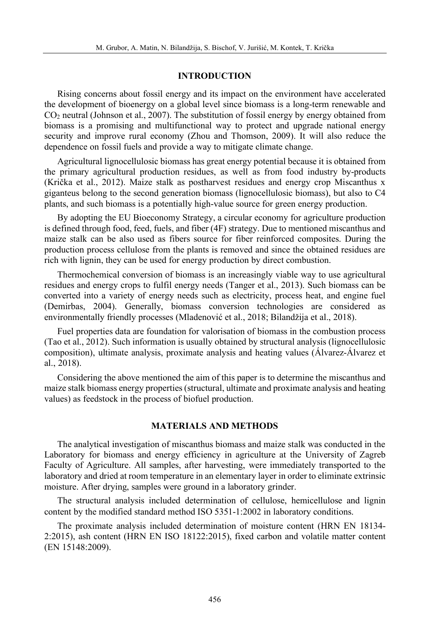#### **INTRODUCTION**

Rising concerns about fossil energy and its impact on the environment have accelerated the development of bioenergy on a global level since biomass is a long-term renewable and CO2 neutral (Johnson et al., 2007). The substitution of fossil energy by energy obtained from biomass is a promising and multifunctional way to protect and upgrade national energy security and improve rural economy (Zhou and Thomson, 2009). It will also reduce the dependence on fossil fuels and provide a way to mitigate climate change.

Agricultural lignocellulosic biomass has great energy potential because it is obtained from the primary agricultural production residues, as well as from food industry by-products (Krička et al., 2012). Maize stalk as postharvest residues and energy crop Miscanthus x giganteus belong to the second generation biomass (lignocellulosic biomass), but also to C4 plants, and such biomass is a potentially high-value source for green energy production.

By adopting the EU Bioeconomy Strategy, a circular economy for agriculture production is defined through food, feed, fuels, and fiber (4F) strategy. Due to mentioned miscanthus and maize stalk can be also used as fibers source for fiber reinforced composites. During the production process cellulose from the plants is removed and since the obtained residues are rich with lignin, they can be used for energy production by direct combustion.

Thermochemical conversion of biomass is an increasingly viable way to use agricultural residues and energy crops to fulfil energy needs (Tanger et al., 2013). Such biomass can be converted into a variety of energy needs such as electricity, process heat, and engine fuel (Demirbas, 2004). Generally, biomass conversion technologies are considered as environmentally friendly processes (Mladenović et al., 2018; Bilandžija et al., 2018).

Fuel properties data are foundation for valorisation of biomass in the combustion process (Tao et al., 2012). Such information is usually obtained by structural analysis (lignocellulosic composition), ultimate analysis, proximate analysis and heating values (Álvarez-Álvarez et al., 2018).

Considering the above mentioned the aim of this paper is to determine the miscanthus and maize stalk biomass energy properties (structural, ultimate and proximate analysis and heating values) as feedstock in the process of biofuel production.

## **MATERIALS AND METHODS**

The analytical investigation of miscanthus biomass and maize stalk was conducted in the Laboratory for biomass and energy efficiency in agriculture at the University of Zagreb Faculty of Agriculture. All samples, after harvesting, were immediately transported to the laboratory and dried at room temperature in an elementary layer in order to eliminate extrinsic moisture. After drying, samples were ground in a laboratory grinder.

The structural analysis included determination of cellulose, hemicellulose and lignin content by the modified standard method ISO 5351-1:2002 in laboratory conditions.

The proximate analysis included determination of moisture content (HRN EN 18134- 2:2015), ash content (HRN EN ISO 18122:2015), fixed carbon and volatile matter content (EN 15148:2009).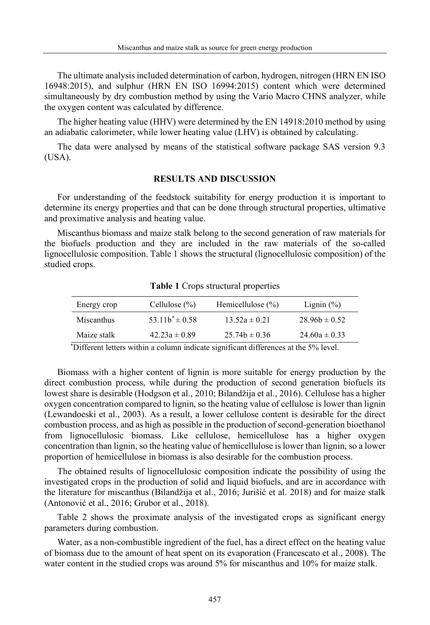The ultimate analysis included determination of carbon, hydrogen, nitrogen (HRN EN ISO 16948:2015), and sulphur (HRN EN ISO 16994:2015) content which were determined simultaneously by dry combustion method by using the Vario Macro CHNS analyzer, while the oxygen content was calculated by difference.

The higher heating value (HHV) were determined by the EN 14918:2010 method by using an adiabatic calorimeter, while lower heating value (LHV) is obtained by calculating.

The data were analysed by means of the statistical software package SAS version 9.3 (USA).

#### **RESULTS AND DISCUSSION**

For understanding of the feedstock suitability for energy production it is important to determine its energy properties and that can be done through structural properties, ultimative and proximative analysis and heating value.

Miscanthus biomass and maize stalk belong to the second generation of raw materials for the biofuels production and they are included in the raw materials of the so-called lignocellulosic composition. Table 1 shows the structural (lignocellulosic composition) of the studied crops.

| Energy crop | Cellulose $(\% )$   | Hemicellulose $(\% )$                     | Lignin $(\%)$     |
|-------------|---------------------|-------------------------------------------|-------------------|
| Miscanthus  | $53.11b^* \pm 0.58$ | $13.52a \pm 0.21$                         | $28.96b \pm 0.52$ |
| Maize stalk | $42.23a \pm 0.89$   | $25.74b \pm 0.36$                         | $24.60a \pm 0.33$ |
|             |                     | $\sim$ $\sim$ $\sim$ $\sim$ $\sim$ $\sim$ | $-1$ $-2$ $-1$    |

**Table 1** Crops structural properties

\*Different letters within a column indicate significant differences at the 5% level.

Biomass with a higher content of lignin is more suitable for energy production by the direct combustion process, while during the production of second generation biofuels its lowest share is desirable (Hodgson et al., 2010; Bilandžija et al., 2016). Cellulose has a higher oxygen concentration compared to lignin, so the heating value of cellulose is lower than lignin (Lewandoeski et al., 2003). As a result, a lower cellulose content is desirable for the direct combustion process, and as high as possible in the production of second-generation bioethanol from lignocellulosic biomass. Like cellulose, hemicellulose has a higher oxygen concentration than lignin, so the heating value of hemicellulose is lower than lignin, so a lower proportion of hemicellulose in biomass is also desirable for the combustion process.

The obtained results of lignocellulosic composition indicate the possibility of using the investigated crops in the production of solid and liquid biofuels, and are in accordance with the literature for miscanthus (Bilandžija et al., 2016; Jurišić et al. 2018) and for maize stalk (Antonović et al., 2016; Grubor et al., 2018).

Table 2 shows the proximate analysis of the investigated crops as significant energy parameters during combustion.

Water, as a non-combustible ingredient of the fuel, has a direct effect on the heating value of biomass due to the amount of heat spent on its evaporation (Francescato et al., 2008). The water content in the studied crops was around 5% for miscanthus and 10% for maize stalk.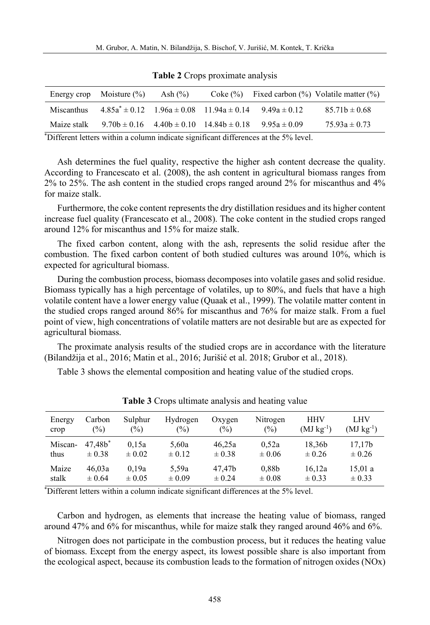|             | Energy crop Moisture $(\%)$ | Ash $(\%)$ |                                                                        | Coke $(\%)$ Fixed carbon $(\%)$ Volatile matter $(\%)$ |
|-------------|-----------------------------|------------|------------------------------------------------------------------------|--------------------------------------------------------|
| Miscanthus  |                             |            | $4.85a^* \pm 0.12$ $1.96a \pm 0.08$ $11.94a \pm 0.14$ $9.49a \pm 0.12$ | $85.71b \pm 0.68$                                      |
| Maize stalk |                             |            | $9.70b \pm 0.16$ $4.40b \pm 0.10$ $14.84b \pm 0.18$ $9.95a \pm 0.09$   | $75.93a \pm 0.73$                                      |

**Table 2** Crops proximate analysis

\*Different letters within a column indicate significant differences at the 5% level.

Ash determines the fuel quality, respective the higher ash content decrease the quality. According to Francescato et al. (2008), the ash content in agricultural biomass ranges from 2% to 25%. The ash content in the studied crops ranged around 2% for miscanthus and 4% for maize stalk.

Furthermore, the coke content represents the dry distillation residues and its higher content increase fuel quality (Francescato et al., 2008). The coke content in the studied crops ranged around 12% for miscanthus and 15% for maize stalk.

The fixed carbon content, along with the ash, represents the solid residue after the combustion. The fixed carbon content of both studied cultures was around 10%, which is expected for agricultural biomass.

During the combustion process, biomass decomposes into volatile gases and solid residue. Biomass typically has a high percentage of volatiles, up to 80%, and fuels that have a high volatile content have a lower energy value (Quaak et al., 1999). The volatile matter content in the studied crops ranged around 86% for miscanthus and 76% for maize stalk. From a fuel point of view, high concentrations of volatile matters are not desirable but are as expected for agricultural biomass.

The proximate analysis results of the studied crops are in accordance with the literature (Bilandžija et al., 2016; Matin et al., 2016; Jurišić et al. 2018; Grubor et al., 2018).

Table 3 shows the elemental composition and heating value of the studied crops.

| Energy  | Carbon     | Sulphur       | Hydrogen   | Oxygen     | Nitrogen          | <b>HHV</b>     | LHV            |
|---------|------------|---------------|------------|------------|-------------------|----------------|----------------|
| crop    | (%)        | $\frac{1}{2}$ | (%)        | $(\%)$     | (%)               | $(MJ kg^{-1})$ | $(MJ kg^{-1})$ |
| Miscan- | $47.48*$   | 0.15a         | 5.60a      | 46.25a     | 0.52a             | 18.36b         | 17.17b         |
| thus    | $\pm 0.38$ | $\pm 0.02$    | $\pm 0.12$ | $\pm 0.38$ | $\pm 0.06$        | $\pm 0.26$     | $\pm 0.26$     |
| Maize   | 46.03a     | 0.19a         | 5,59a      | 47.47b     | 0.88 <sub>b</sub> | 16.12a         | 15,01a         |
| stalk   | $\pm 0.64$ | $\pm 0.05$    | $\pm 0.09$ | $\pm 0.24$ | $\pm 0.08$        | $\pm 0.33$     | $\pm 0.33$     |

**Table 3** Crops ultimate analysis and heating value

\*Different letters within a column indicate significant differences at the 5% level.

Carbon and hydrogen, as elements that increase the heating value of biomass, ranged around 47% and 6% for miscanthus, while for maize stalk they ranged around 46% and 6%.

Nitrogen does not participate in the combustion process, but it reduces the heating value of biomass. Except from the energy aspect, its lowest possible share is also important from the ecological aspect, because its combustion leads to the formation of nitrogen oxides (NOx)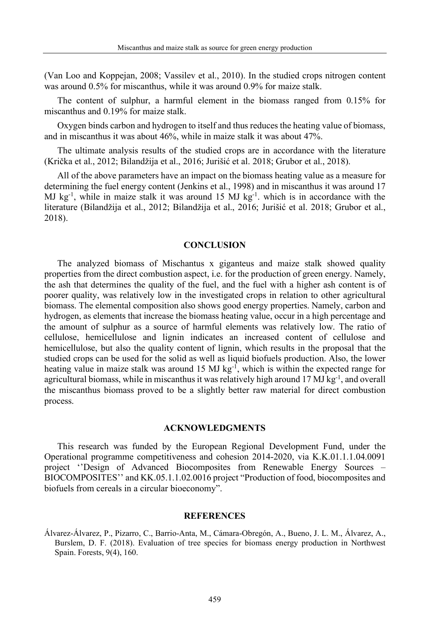(Van Loo and Koppejan, 2008; Vassilev et al., 2010). In the studied crops nitrogen content was around 0.5% for miscanthus, while it was around 0.9% for maize stalk.

The content of sulphur, a harmful element in the biomass ranged from 0.15% for miscanthus and 0.19% for maize stalk.

Oxygen binds carbon and hydrogen to itself and thus reduces the heating value of biomass, and in miscanthus it was about 46%, while in maize stalk it was about 47%.

The ultimate analysis results of the studied crops are in accordance with the literature (Krička et al., 2012; Bilandžija et al., 2016; Jurišić et al. 2018; Grubor et al., 2018).

All of the above parameters have an impact on the biomass heating value as a measure for determining the fuel energy content (Jenkins et al., 1998) and in miscanthus it was around 17 MJ  $kg<sup>-1</sup>$ , while in maize stalk it was around 15 MJ  $kg<sup>-1</sup>$ . which is in accordance with the literature (Bilandžija et al., 2012; Bilandžija et al., 2016; Jurišić et al. 2018; Grubor et al., 2018).

#### **CONCLUSION**

The analyzed biomass of Mischantus x giganteus and maize stalk showed quality properties from the direct combustion aspect, i.e. for the production of green energy. Namely, the ash that determines the quality of the fuel, and the fuel with a higher ash content is of poorer quality, was relatively low in the investigated crops in relation to other agricultural biomass. The elemental composition also shows good energy properties. Namely, carbon and hydrogen, as elements that increase the biomass heating value, occur in a high percentage and the amount of sulphur as a source of harmful elements was relatively low. The ratio of cellulose, hemicellulose and lignin indicates an increased content of cellulose and hemicellulose, but also the quality content of lignin, which results in the proposal that the studied crops can be used for the solid as well as liquid biofuels production. Also, the lower heating value in maize stalk was around 15 MJ kg<sup>-1</sup>, which is within the expected range for agricultural biomass, while in miscanthus it was relatively high around 17 MJ kg<sup>-1</sup>, and overall the miscanthus biomass proved to be a slightly better raw material for direct combustion process.

## **ACKNOWLEDGMENTS**

This research was funded by the European Regional Development Fund, under the Operational programme competitiveness and cohesion 2014-2020, via K.K.01.1.1.04.0091 project ''Design of Advanced Biocomposites from Renewable Energy Sources – BIOCOMPOSITES'' and KK.05.1.1.02.0016 project "Production of food, biocomposites and biofuels from cereals in a circular bioeconomy".

#### **REFERENCES**

Álvarez-Álvarez, P., Pizarro, C., Barrio-Anta, M., Cámara-Obregón, A., Bueno, J. L. M., Álvarez, A., Burslem, D. F. (2018). Evaluation of tree species for biomass energy production in Northwest Spain. Forests, 9(4), 160.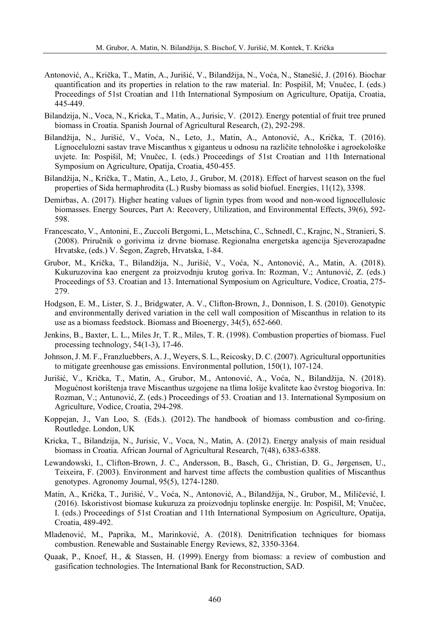- Antonović, A., Krička, T., Matin, A., Jurišić, V., Bilandžija, N., Voća, N., Stanešić, J. (2016). Biochar quantification and its properties in relation to the raw material. In: Pospišil, M; Vnučec, I. (eds.) Proceedings of 51st Croatian and 11th International Symposium on Agriculture, Opatija, Croatia, 445-449.
- Bilandzija, N., Voca, N., Kricka, T., Matin, A., Jurisic, V. (2012). Energy potential of fruit tree pruned biomass in Croatia. Spanish Journal of Agricultural Research, (2), 292-298.
- Bilandžija, N., Jurišić, V., Voća, N., Leto, J., Matin, A., Antonović, A., Krička, T. (2016). Lignocelulozni sastav trave Miscanthus x giganteus u odnosu na različite tehnološke i agroekološke uvjete. In: Pospišil, M; Vnučec, I. (eds.) Proceedings of 51st Croatian and 11th International Symposium on Agriculture, Opatija, Croatia, 450-455.
- Bilandžija, N., Krička, T., Matin, A., Leto, J., Grubor, M. (2018). Effect of harvest season on the fuel properties of Sida hermaphrodita (L.) Rusby biomass as solid biofuel. Energies, 11(12), 3398.
- Demirbas, A. (2017). Higher heating values of lignin types from wood and non-wood lignocellulosic biomasses. Energy Sources, Part A: Recovery, Utilization, and Environmental Effects, 39(6), 592- 598.
- Francescato, V., Antonini, E., Zuccoli Bergomi, L., Metschina, C., Schnedl, C., Krajnc, N., Stranieri, S. (2008). Priručnik o gorivima iz drvne biomase. Regionalna energetska agencija Sjeverozapadne Hrvatske, (eds.) V. Šegon, Zagreb, Hrvatska, 1-84.
- Grubor, M., Krička, T., Bilandžija, N., Jurišić, V., Voća, N., Antonović, A., Matin, A. (2018). Kukuruzovina kao energent za proizvodnju krutog goriva. In: Rozman, V.; Antunović, Z. (eds.) Proceedings of 53. Croatian and 13. International Symposium on Agriculture, Vodice, Croatia, 275- 279.
- Hodgson, E. M., Lister, S. J., Bridgwater, A. V., Clifton-Brown, J., Donnison, I. S. (2010). Genotypic and environmentally derived variation in the cell wall composition of Miscanthus in relation to its use as a biomass feedstock. Biomass and Bioenergy, 34(5), 652-660.
- Jenkins, B., Baxter, L. L., Miles Jr, T. R., Miles, T. R. (1998). Combustion properties of biomass. Fuel processing technology, 54(1-3), 17-46.
- Johnson, J. M. F., Franzluebbers, A. J., Weyers, S. L., Reicosky, D. C. (2007). Agricultural opportunities to mitigate greenhouse gas emissions. Environmental pollution, 150(1), 107-124.
- Jurišić, V., Krička, T., Matin, A., Grubor, M., Antonović, A., Voća, N., Bilandžija, N. (2018). Mogućnost korištenja trave Miscanthus uzgojene na tlima lošije kvalitete kao čvrstog biogoriva. In: Rozman, V.; Antunović, Z. (eds.) Proceedings of 53. Croatian and 13. International Symposium on Agriculture, Vodice, Croatia, 294-298.
- Koppejan, J., Van Loo, S. (Eds.). (2012). The handbook of biomass combustion and co-firing. Routledge. London, UK
- Kricka, T., Bilandzija, N., Jurisic, V., Voca, N., Matin, A. (2012). Energy analysis of main residual biomass in Croatia. African Journal of Agricultural Research, 7(48), 6383-6388.
- Lewandowski, I., Clifton‐Brown, J. C., Andersson, B., Basch, G., Christian, D. G., Jørgensen, U., Teixeira, F. (2003). Environment and harvest time affects the combustion qualities of Miscanthus genotypes. Agronomy Journal, 95(5), 1274-1280.
- Matin, A., Krička, T., Jurišić, V., Voća, N., Antonović, A., Bilandžija, N., Grubor, M., Miličević, I. (2016). Iskoristivost biomase kukuruza za proizvodnju toplinske energije. In: Pospišil, M; Vnučec, I. (eds.) Proceedings of 51st Croatian and 11th International Symposium on Agriculture, Opatija, Croatia, 489-492.
- Mladenović, M., Paprika, M., Marinković, A. (2018). Denitrification techniques for biomass combustion. Renewable and Sustainable Energy Reviews, 82, 3350-3364.
- Quaak, P., Knoef, H., & Stassen, H. (1999). Energy from biomass: a review of combustion and gasification technologies. The International Bank for Reconstruction, SAD.